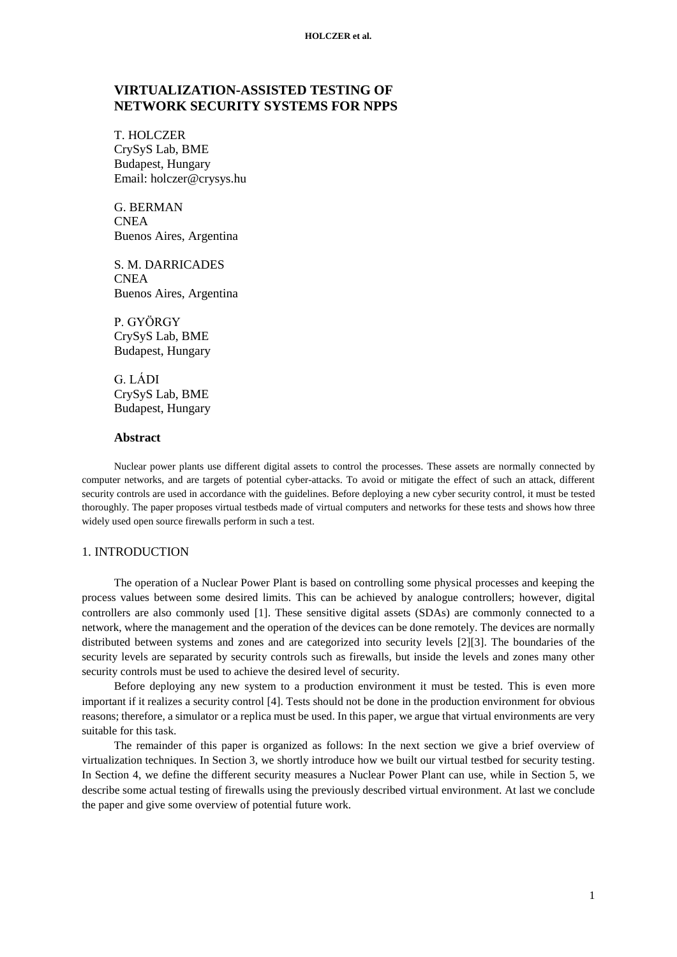# **VIRTUALIZATION-ASSISTED TESTING OF NETWORK SECURITY SYSTEMS FOR NPPS**

T. HOLCZER CrySyS Lab, BME Budapest, Hungary Email: holczer@crysys.hu

G. BERMAN **CNEA** Buenos Aires, Argentina

S. M. DARRICADES **CNEA** Buenos Aires, Argentina

P. GYÖRGY CrySyS Lab, BME Budapest, Hungary

G. LÁDI CrySyS Lab, BME Budapest, Hungary

### **Abstract**

Nuclear power plants use different digital assets to control the processes. These assets are normally connected by computer networks, and are targets of potential cyber-attacks. To avoid or mitigate the effect of such an attack, different security controls are used in accordance with the guidelines. Before deploying a new cyber security control, it must be tested thoroughly. The paper proposes virtual testbeds made of virtual computers and networks for these tests and shows how three widely used open source firewalls perform in such a test.

## 1. INTRODUCTION

The operation of a Nuclear Power Plant is based on controlling some physical processes and keeping the process values between some desired limits. This can be achieved by analogue controllers; however, digital controllers are also commonly used [\[1\].](#page-9-0) These sensitive digital assets (SDAs) are commonly connected to a network, where the management and the operation of the devices can be done remotely. The devices are normally distributed between systems and zones and are categorized into security levels [\[2\]\[3\].](#page-9-1) The boundaries of the security levels are separated by security controls such as firewalls, but inside the levels and zones many other security controls must be used to achieve the desired level of security.

Before deploying any new system to a production environment it must be tested. This is even more important if it realizes a security control [\[4\].](#page-9-2) Tests should not be done in the production environment for obvious reasons; therefore, a simulator or a replica must be used. In this paper, we argue that virtual environments are very suitable for this task.

The remainder of this paper is organized as follows: In the next section we give a brief overview of virtualization techniques. In Section [3,](#page-3-0) we shortly introduce how we built our virtual testbed for security testing. In Section [4,](#page-3-1) we define the different security measures a Nuclear Power Plant can use, while in Section [5,](#page-5-0) we describe some actual testing of firewalls using the previously described virtual environment. At last we conclude the paper and give some overview of potential future work.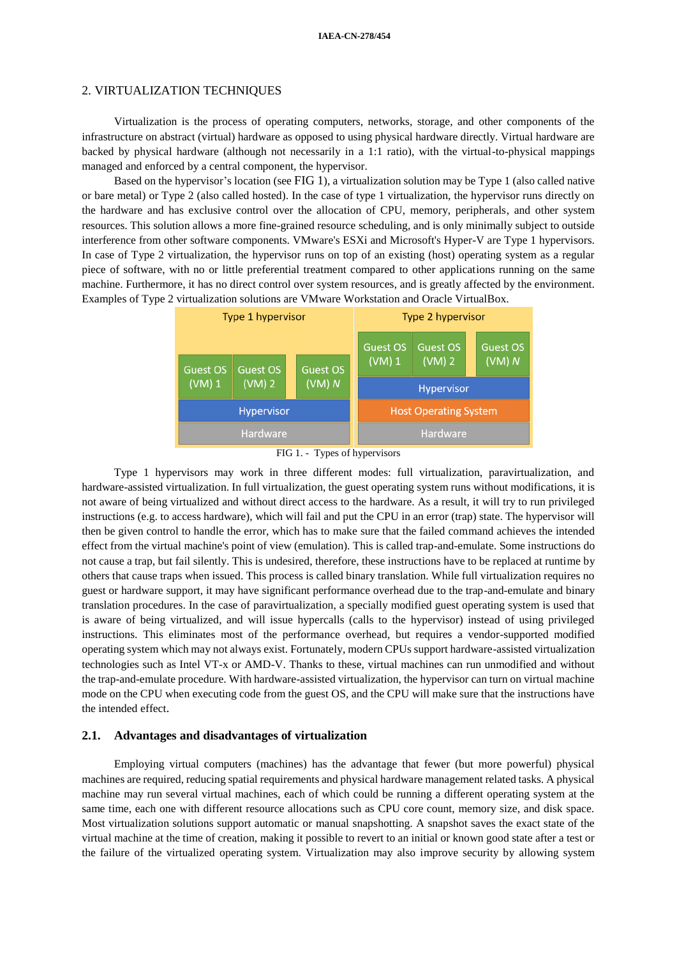## 2. VIRTUALIZATION TECHNIQUES

Virtualization is the process of operating computers, networks, storage, and other components of the infrastructure on abstract (virtual) hardware as opposed to using physical hardware directly. Virtual hardware are backed by physical hardware (although not necessarily in a 1:1 ratio), with the virtual-to-physical mappings managed and enforced by a central component, the hypervisor.

Based on the hypervisor's location (see [FIG](#page-1-0) 1), a virtualization solution may be Type 1 (also called native or bare metal) or Type 2 (also called hosted). In the case of type 1 virtualization, the hypervisor runs directly on the hardware and has exclusive control over the allocation of CPU, memory, peripherals, and other system resources. This solution allows a more fine-grained resource scheduling, and is only minimally subject to outside interference from other software components. VMware's ESXi and Microsoft's Hyper-V are Type 1 hypervisors. In case of Type 2 virtualization, the hypervisor runs on top of an existing (host) operating system as a regular piece of software, with no or little preferential treatment compared to other applications running on the same machine. Furthermore, it has no direct control over system resources, and is greatly affected by the environment. Examples of Type 2 virtualization solutions are VMware Workstation and Oracle VirtualBox.



FIG 1. - Types of hypervisors

<span id="page-1-0"></span>Type 1 hypervisors may work in three different modes: full virtualization, paravirtualization, and hardware-assisted virtualization. In full virtualization, the guest operating system runs without modifications, it is not aware of being virtualized and without direct access to the hardware. As a result, it will try to run privileged instructions (e.g. to access hardware), which will fail and put the CPU in an error (trap) state. The hypervisor will then be given control to handle the error, which has to make sure that the failed command achieves the intended effect from the virtual machine's point of view (emulation). This is called trap-and-emulate. Some instructions do not cause a trap, but fail silently. This is undesired, therefore, these instructions have to be replaced at runtime by others that cause traps when issued. This process is called binary translation. While full virtualization requires no guest or hardware support, it may have significant performance overhead due to the trap-and-emulate and binary translation procedures. In the case of paravirtualization, a specially modified guest operating system is used that is aware of being virtualized, and will issue hypercalls (calls to the hypervisor) instead of using privileged instructions. This eliminates most of the performance overhead, but requires a vendor-supported modified operating system which may not always exist. Fortunately, modern CPUs support hardware-assisted virtualization technologies such as Intel VT-x or AMD-V. Thanks to these, virtual machines can run unmodified and without the trap-and-emulate procedure. With hardware-assisted virtualization, the hypervisor can turn on virtual machine mode on the CPU when executing code from the guest OS, and the CPU will make sure that the instructions have the intended effect.

## **2.1. Advantages and disadvantages of virtualization**

Employing virtual computers (machines) has the advantage that fewer (but more powerful) physical machines are required, reducing spatial requirements and physical hardware management related tasks. A physical machine may run several virtual machines, each of which could be running a different operating system at the same time, each one with different resource allocations such as CPU core count, memory size, and disk space. Most virtualization solutions support automatic or manual snapshotting. A snapshot saves the exact state of the virtual machine at the time of creation, making it possible to revert to an initial or known good state after a test or the failure of the virtualized operating system. Virtualization may also improve security by allowing system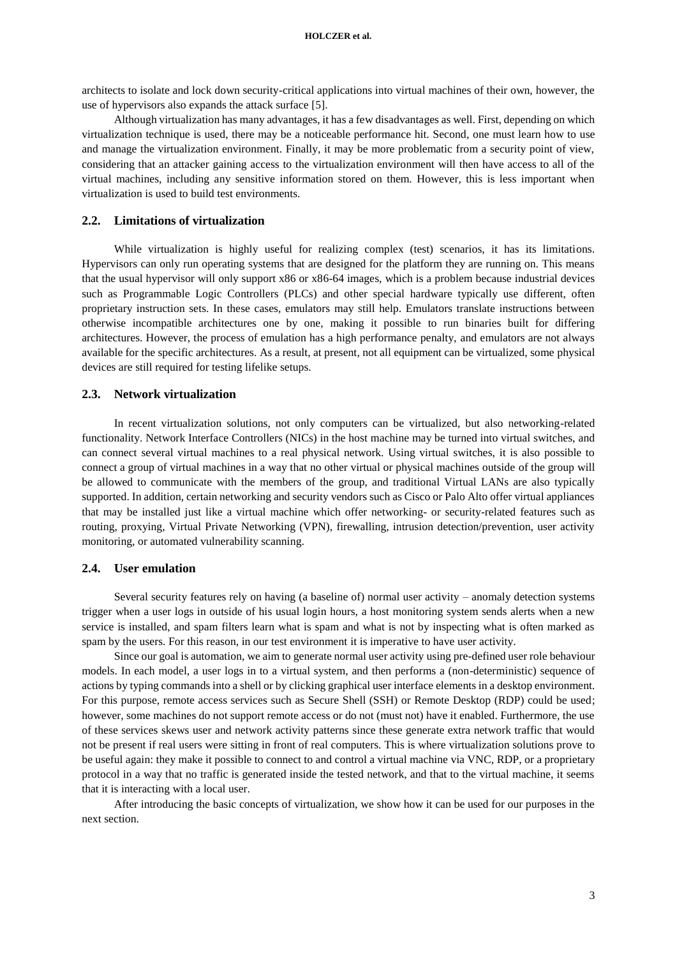architects to isolate and lock down security-critical applications into virtual machines of their own, however, the use of hypervisors also expands the attack surface [\[5\].](#page-9-3)

Although virtualization has many advantages, it has a few disadvantages as well. First, depending on which virtualization technique is used, there may be a noticeable performance hit. Second, one must learn how to use and manage the virtualization environment. Finally, it may be more problematic from a security point of view, considering that an attacker gaining access to the virtualization environment will then have access to all of the virtual machines, including any sensitive information stored on them. However, this is less important when virtualization is used to build test environments.

## **2.2. Limitations of virtualization**

While virtualization is highly useful for realizing complex (test) scenarios, it has its limitations. Hypervisors can only run operating systems that are designed for the platform they are running on. This means that the usual hypervisor will only support x86 or x86-64 images, which is a problem because industrial devices such as Programmable Logic Controllers (PLCs) and other special hardware typically use different, often proprietary instruction sets. In these cases, emulators may still help. Emulators translate instructions between otherwise incompatible architectures one by one, making it possible to run binaries built for differing architectures. However, the process of emulation has a high performance penalty, and emulators are not always available for the specific architectures. As a result, at present, not all equipment can be virtualized, some physical devices are still required for testing lifelike setups.

#### **2.3. Network virtualization**

In recent virtualization solutions, not only computers can be virtualized, but also networking-related functionality. Network Interface Controllers (NICs) in the host machine may be turned into virtual switches, and can connect several virtual machines to a real physical network. Using virtual switches, it is also possible to connect a group of virtual machines in a way that no other virtual or physical machines outside of the group will be allowed to communicate with the members of the group, and traditional Virtual LANs are also typically supported. In addition, certain networking and security vendors such as Cisco or Palo Alto offer virtual appliances that may be installed just like a virtual machine which offer networking- or security-related features such as routing, proxying, Virtual Private Networking (VPN), firewalling, intrusion detection/prevention, user activity monitoring, or automated vulnerability scanning.

#### **2.4. User emulation**

Several security features rely on having (a baseline of) normal user activity – anomaly detection systems trigger when a user logs in outside of his usual login hours, a host monitoring system sends alerts when a new service is installed, and spam filters learn what is spam and what is not by inspecting what is often marked as spam by the users. For this reason, in our test environment it is imperative to have user activity.

Since our goal is automation, we aim to generate normal user activity using pre-defined user role behaviour models. In each model, a user logs in to a virtual system, and then performs a (non-deterministic) sequence of actions by typing commands into a shell or by clicking graphical user interface elements in a desktop environment. For this purpose, remote access services such as Secure Shell (SSH) or Remote Desktop (RDP) could be used; however, some machines do not support remote access or do not (must not) have it enabled. Furthermore, the use of these services skews user and network activity patterns since these generate extra network traffic that would not be present if real users were sitting in front of real computers. This is where virtualization solutions prove to be useful again: they make it possible to connect to and control a virtual machine via VNC, RDP, or a proprietary protocol in a way that no traffic is generated inside the tested network, and that to the virtual machine, it seems that it is interacting with a local user.

After introducing the basic concepts of virtualization, we show how it can be used for our purposes in the next section.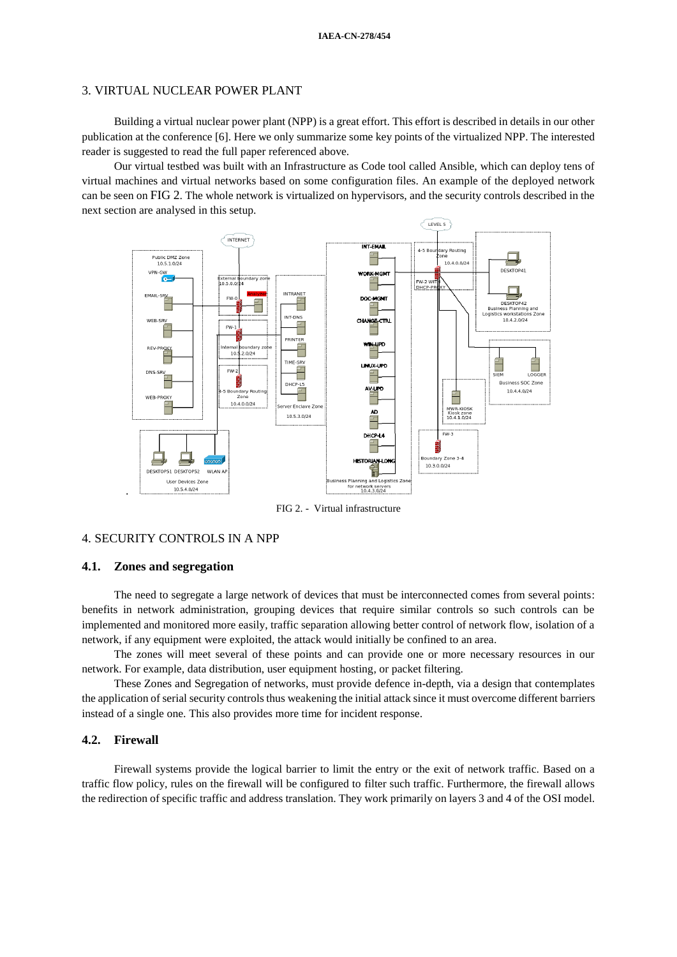### <span id="page-3-0"></span>3. VIRTUAL NUCLEAR POWER PLANT

Building a virtual nuclear power plant (NPP) is a great effort. This effort is described in details in our other publication at the conference [\[6\].](#page-9-4) Here we only summarize some key points of the virtualized NPP. The interested reader is suggested to read the full paper referenced above.

Our virtual testbed was built with an Infrastructure as Code tool called Ansible, which can deploy tens of virtual machines and virtual networks based on some configuration files. An example of the deployed network can be seen on [FIG 2](#page-3-2). The whole network is virtualized on hypervisors, and the security controls described in the next section are analysed in this setup.



FIG 2. - Virtual infrastructure

## <span id="page-3-2"></span><span id="page-3-1"></span>4. SECURITY CONTROLS IN A NPP

## **4.1. Zones and segregation**

The need to segregate a large network of devices that must be interconnected comes from several points: benefits in network administration, grouping devices that require similar controls so such controls can be implemented and monitored more easily, traffic separation allowing better control of network flow, isolation of a network, if any equipment were exploited, the attack would initially be confined to an area.

The zones will meet several of these points and can provide one or more necessary resources in our network. For example, data distribution, user equipment hosting, or packet filtering.

These Zones and Segregation of networks, must provide defence in-depth, via a design that contemplates the application of serial security controls thus weakening the initial attack since it must overcome different barriers instead of a single one. This also provides more time for incident response.

## **4.2. Firewall**

Firewall systems provide the logical barrier to limit the entry or the exit of network traffic. Based on a traffic flow policy, rules on the firewall will be configured to filter such traffic. Furthermore, the firewall allows the redirection of specific traffic and address translation. They work primarily on layers 3 and 4 of the OSI model.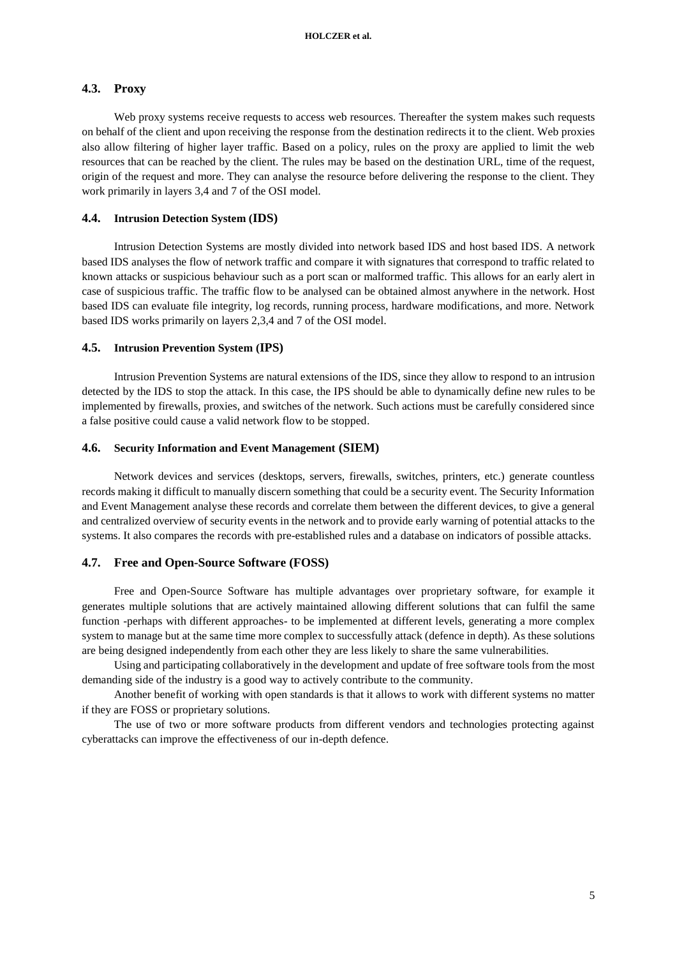#### **4.3. Proxy**

Web proxy systems receive requests to access web resources. Thereafter the system makes such requests on behalf of the client and upon receiving the response from the destination redirects it to the client. Web proxies also allow filtering of higher layer traffic. Based on a policy, rules on the proxy are applied to limit the web resources that can be reached by the client. The rules may be based on the destination URL, time of the request, origin of the request and more. They can analyse the resource before delivering the response to the client. They work primarily in layers 3,4 and 7 of the OSI model.

#### **4.4. Intrusion Detection System (IDS)**

Intrusion Detection Systems are mostly divided into network based IDS and host based IDS. A network based IDS analyses the flow of network traffic and compare it with signatures that correspond to traffic related to known attacks or suspicious behaviour such as a port scan or malformed traffic. This allows for an early alert in case of suspicious traffic. The traffic flow to be analysed can be obtained almost anywhere in the network. Host based IDS can evaluate file integrity, log records, running process, hardware modifications, and more. Network based IDS works primarily on layers 2,3,4 and 7 of the OSI model.

### **4.5. Intrusion Prevention System (IPS)**

Intrusion Prevention Systems are natural extensions of the IDS, since they allow to respond to an intrusion detected by the IDS to stop the attack. In this case, the IPS should be able to dynamically define new rules to be implemented by firewalls, proxies, and switches of the network. Such actions must be carefully considered since a false positive could cause a valid network flow to be stopped.

#### **4.6. Security Information and Event Management (SIEM)**

Network devices and services (desktops, servers, firewalls, switches, printers, etc.) generate countless records making it difficult to manually discern something that could be a security event. The Security Information and Event Management analyse these records and correlate them between the different devices, to give a general and centralized overview of security events in the network and to provide early warning of potential attacks to the systems. It also compares the records with pre-established rules and a database on indicators of possible attacks.

#### **4.7. Free and Open-Source Software (FOSS)**

Free and Open-Source Software has multiple advantages over proprietary software, for example it generates multiple solutions that are actively maintained allowing different solutions that can fulfil the same function -perhaps with different approaches- to be implemented at different levels, generating a more complex system to manage but at the same time more complex to successfully attack (defence in depth). As these solutions are being designed independently from each other they are less likely to share the same vulnerabilities.

Using and participating collaboratively in the development and update of free software tools from the most demanding side of the industry is a good way to actively contribute to the community.

Another benefit of working with open standards is that it allows to work with different systems no matter if they are FOSS or proprietary solutions.

The use of two or more software products from different vendors and technologies protecting against cyberattacks can improve the effectiveness of our in-depth defence.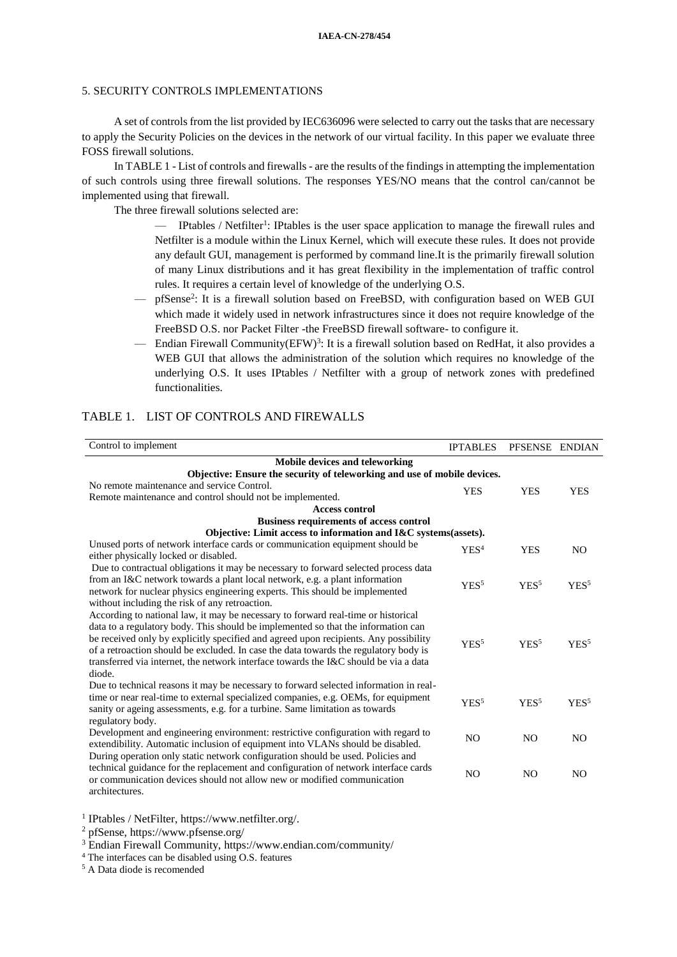## <span id="page-5-0"></span>5. SECURITY CONTROLS IMPLEMENTATIONS

A set of controls from the list provided by IEC636096 were selected to carry out the tasks that are necessary to apply the Security Policies on the devices in the network of our virtual facility. In this paper we evaluate three FOSS firewall solutions.

In TABLE 1 - List of controls and firewalls - are the results of the findings in attempting the implementation of such controls using three firewall solutions. The responses YES/NO means that the control can/cannot be implemented using that firewall.

The three firewall solutions selected are:

- IPtables / Netfilter<sup>1</sup>: IPtables is the user space application to manage the firewall rules and Netfilter is a module within the Linux Kernel, which will execute these rules. It does not provide any default GUI, management is performed by command line.It is the primarily firewall solution of many Linux distributions and it has great flexibility in the implementation of traffic control rules. It requires a certain level of knowledge of the underlying O.S.
- pfSense<sup>2</sup> : It is a firewall solution based on FreeBSD, with configuration based on WEB GUI which made it widely used in network infrastructures since it does not require knowledge of the FreeBSD O.S. nor Packet Filter -the FreeBSD firewall software- to configure it.
- Endian Firewall Community(EFW)<sup>3</sup> : It is a firewall solution based on RedHat, it also provides a WEB GUI that allows the administration of the solution which requires no knowledge of the underlying O.S. It uses IPtables / Netfilter with a group of network zones with predefined functionalities.

| Control to implement                                                                           | <b>IPTABLES</b>  | PFSENSE ENDIAN   |                  |
|------------------------------------------------------------------------------------------------|------------------|------------------|------------------|
| Mobile devices and teleworking                                                                 |                  |                  |                  |
| Objective: Ensure the security of teleworking and use of mobile devices.                       |                  |                  |                  |
| No remote maintenance and service Control.                                                     | <b>YES</b>       | <b>YES</b>       | <b>YES</b>       |
| Remote maintenance and control should not be implemented.                                      |                  |                  |                  |
| <b>Access control</b><br><b>Business requirements of access control</b>                        |                  |                  |                  |
| Objective: Limit access to information and I&C systems(assets).                                |                  |                  |                  |
| Unused ports of network interface cards or communication equipment should be                   |                  |                  |                  |
| either physically locked or disabled.                                                          | YES <sup>4</sup> | <b>YES</b>       | N <sub>O</sub>   |
| Due to contractual obligations it may be necessary to forward selected process data            |                  |                  |                  |
| from an I&C network towards a plant local network, e.g. a plant information                    | YES <sup>5</sup> | YES <sup>5</sup> | YES <sup>5</sup> |
| network for nuclear physics engineering experts. This should be implemented                    |                  |                  |                  |
| without including the risk of any retroaction.                                                 |                  |                  |                  |
| According to national law, it may be necessary to forward real-time or historical              |                  |                  |                  |
| data to a regulatory body. This should be implemented so that the information can              |                  |                  |                  |
| be received only by explicitly specified and agreed upon recipients. Any possibility           | YES <sup>5</sup> | YES <sup>5</sup> | YES <sup>5</sup> |
| of a retroaction should be excluded. In case the data towards the regulatory body is           |                  |                  |                  |
| transferred via internet, the network interface towards the I&C should be via a data<br>diode. |                  |                  |                  |
| Due to technical reasons it may be necessary to forward selected information in real-          |                  |                  |                  |
| time or near real-time to external specialized companies, e.g. OEMs, for equipment             |                  |                  |                  |
| sanity or ageing assessments, e.g. for a turbine. Same limitation as towards                   | YES <sup>5</sup> | YES <sup>5</sup> | YES <sup>5</sup> |
| regulatory body.                                                                               |                  |                  |                  |
| Development and engineering environment: restrictive configuration with regard to              |                  |                  |                  |
| extendibility. Automatic inclusion of equipment into VLANs should be disabled.                 | N <sub>O</sub>   | N <sub>O</sub>   | N <sub>O</sub>   |
| During operation only static network configuration should be used. Policies and                |                  |                  |                  |
| technical guidance for the replacement and configuration of network interface cards            | N <sub>O</sub>   | N <sub>O</sub>   | N <sub>O</sub>   |
| or communication devices should not allow new or modified communication                        |                  |                  |                  |
| architectures.                                                                                 |                  |                  |                  |

## TABLE 1. LIST OF CONTROLS AND FIREWALLS

1 IPtables / NetFilter, https://www.netfilter.org/.

<sup>2</sup> pfSense, https://www.pfsense.org/

<sup>3</sup> Endian Firewall Community, https://www.endian.com/community/

<sup>4</sup> The interfaces can be disabled using O.S. features

<sup>5</sup> A Data diode is recomended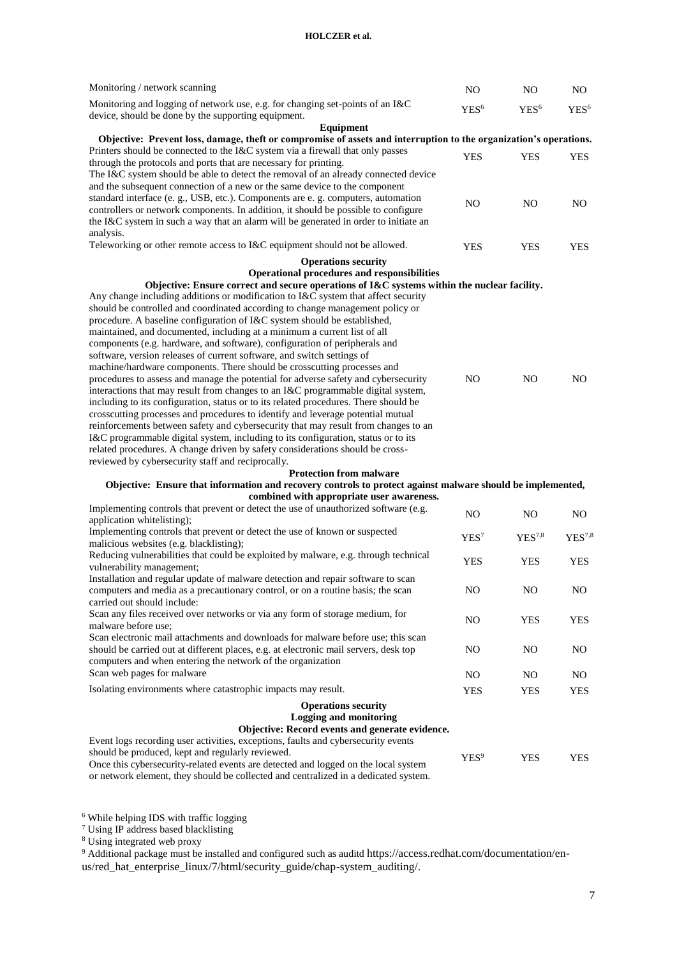### **HOLCZER et al.**

| Monitoring / network scanning                                                                                                                                                    | NO.              | N <sub>O</sub>     | NO.              |
|----------------------------------------------------------------------------------------------------------------------------------------------------------------------------------|------------------|--------------------|------------------|
| Monitoring and logging of network use, e.g. for changing set-points of an I&C                                                                                                    | YES <sup>6</sup> | YES <sup>6</sup>   | YES <sup>6</sup> |
| device, should be done by the supporting equipment.                                                                                                                              |                  |                    |                  |
| Equipment<br>Objective: Prevent loss, damage, theft or compromise of assets and interruption to the organization's operations.                                                   |                  |                    |                  |
| Printers should be connected to the I&C system via a firewall that only passes                                                                                                   |                  |                    |                  |
| through the protocols and ports that are necessary for printing.                                                                                                                 | <b>YES</b>       | YES                | <b>YES</b>       |
| The I&C system should be able to detect the removal of an already connected device                                                                                               |                  |                    |                  |
| and the subsequent connection of a new or the same device to the component                                                                                                       |                  |                    |                  |
| standard interface (e. g., USB, etc.). Components are e. g. computers, automation                                                                                                | N <sub>O</sub>   | N <sub>O</sub>     | NO.              |
| controllers or network components. In addition, it should be possible to configure                                                                                               |                  |                    |                  |
| the I&C system in such a way that an alarm will be generated in order to initiate an                                                                                             |                  |                    |                  |
| analysis.                                                                                                                                                                        |                  |                    |                  |
| Teleworking or other remote access to I&C equipment should not be allowed.                                                                                                       | <b>YES</b>       | <b>YES</b>         | <b>YES</b>       |
| <b>Operations security</b>                                                                                                                                                       |                  |                    |                  |
| Operational procedures and responsibilities                                                                                                                                      |                  |                    |                  |
| Objective: Ensure correct and secure operations of I&C systems within the nuclear facility.<br>Any change including additions or modification to I&C system that affect security |                  |                    |                  |
| should be controlled and coordinated according to change management policy or                                                                                                    |                  |                    |                  |
| procedure. A baseline configuration of I&C system should be established,                                                                                                         |                  |                    |                  |
| maintained, and documented, including at a minimum a current list of all                                                                                                         |                  |                    |                  |
| components (e.g. hardware, and software), configuration of peripherals and                                                                                                       |                  |                    |                  |
| software, version releases of current software, and switch settings of                                                                                                           |                  |                    |                  |
| machine/hardware components. There should be crosscutting processes and                                                                                                          |                  |                    |                  |
| procedures to assess and manage the potential for adverse safety and cybersecurity                                                                                               | N <sub>O</sub>   | N <sub>O</sub>     | NO.              |
| interactions that may result from changes to an I&C programmable digital system,                                                                                                 |                  |                    |                  |
| including to its configuration, status or to its related procedures. There should be<br>crosscutting processes and procedures to identify and leverage potential mutual          |                  |                    |                  |
| reinforcements between safety and cybersecurity that may result from changes to an                                                                                               |                  |                    |                  |
| I&C programmable digital system, including to its configuration, status or to its                                                                                                |                  |                    |                  |
| related procedures. A change driven by safety considerations should be cross-                                                                                                    |                  |                    |                  |
| reviewed by cybersecurity staff and reciprocally.                                                                                                                                |                  |                    |                  |
| <b>Protection from malware</b>                                                                                                                                                   |                  |                    |                  |
| Objective: Ensure that information and recovery controls to protect against malware should be implemented,                                                                       |                  |                    |                  |
| combined with appropriate user awareness.                                                                                                                                        |                  |                    |                  |
| Implementing controls that prevent or detect the use of unauthorized software (e.g.<br>application whitelisting);                                                                | N <sub>O</sub>   | N <sub>O</sub>     | N <sub>O</sub>   |
| Implementing controls that prevent or detect the use of known or suspected                                                                                                       |                  |                    |                  |
| malicious websites (e.g. blacklisting);                                                                                                                                          | YES <sup>7</sup> | YES <sup>7,8</sup> | $YES^{7,8}$      |
| Reducing vulnerabilities that could be exploited by malware, e.g. through technical                                                                                              | <b>YES</b>       | <b>YES</b>         | <b>YES</b>       |
| vulnerability management;                                                                                                                                                        |                  |                    |                  |
| Installation and regular update of malware detection and repair software to scan                                                                                                 |                  |                    |                  |
| computers and media as a precautionary control, or on a routine basis; the scan                                                                                                  | N <sub>O</sub>   | N <sub>O</sub>     | NO.              |
| carried out should include:<br>Scan any files received over networks or via any form of storage medium, for                                                                      |                  |                    |                  |
| malware before use:                                                                                                                                                              | N <sub>O</sub>   | <b>YES</b>         | <b>YES</b>       |
| Scan electronic mail attachments and downloads for malware before use; this scan                                                                                                 |                  |                    |                  |
| should be carried out at different places, e.g. at electronic mail servers, desk top                                                                                             | N <sub>O</sub>   | NO.                | NO.              |
| computers and when entering the network of the organization                                                                                                                      |                  |                    |                  |
| Scan web pages for malware                                                                                                                                                       | NO.              | N <sub>O</sub>     | NO.              |
| Isolating environments where catastrophic impacts may result.                                                                                                                    | <b>YES</b>       | <b>YES</b>         | <b>YES</b>       |
| <b>Operations security</b>                                                                                                                                                       |                  |                    |                  |
| <b>Logging and monitoring</b>                                                                                                                                                    |                  |                    |                  |
| Objective: Record events and generate evidence.                                                                                                                                  |                  |                    |                  |
| Event logs recording user activities, exceptions, faults and cybersecurity events                                                                                                |                  |                    |                  |
| should be produced, kept and regularly reviewed.                                                                                                                                 | YES <sup>9</sup> | <b>YES</b>         | <b>YES</b>       |
| Once this cybersecurity-related events are detected and logged on the local system                                                                                               |                  |                    |                  |
| or network element, they should be collected and centralized in a dedicated system.                                                                                              |                  |                    |                  |

<sup>6</sup> While helping IDS with traffic logging

<sup>7</sup> Using IP address based blacklisting

<sup>8</sup> Using integrated web proxy

<sup>9</sup> Additional package must be installed and configured such as auditd https://access.redhat.com/documentation/enus/red\_hat\_enterprise\_linux/7/html/security\_guide/chap-system\_auditing/.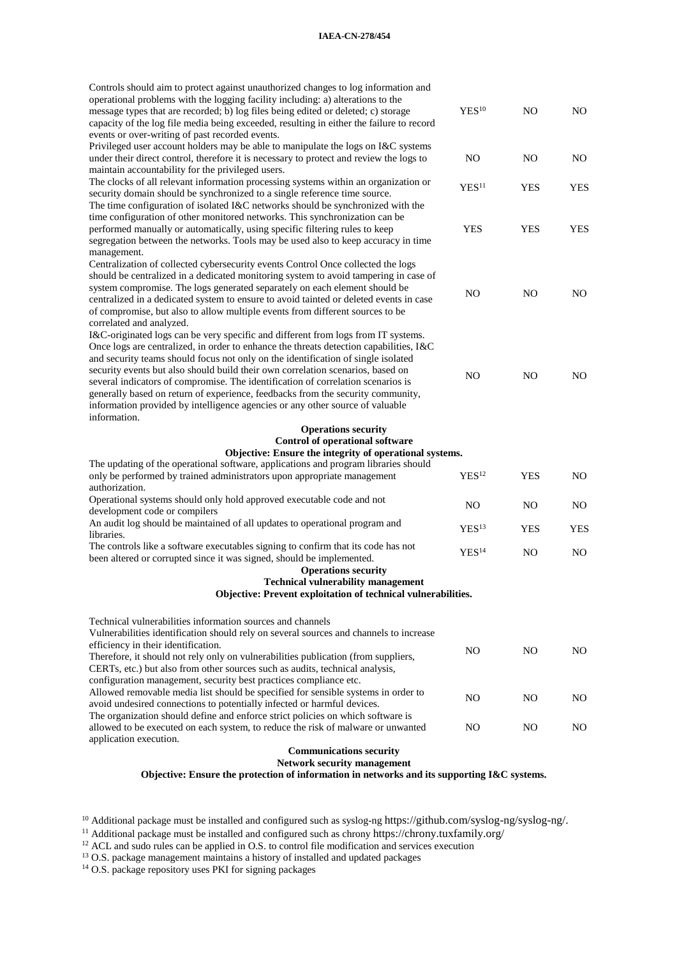#### **IAEA-CN-278/454**

| Controls should aim to protect against unauthorized changes to log information and<br>operational problems with the logging facility including: a) alterations to the<br>message types that are recorded; b) log files being edited or deleted; c) storage<br>capacity of the log file media being exceeded, resulting in either the failure to record<br>events or over-writing of past recorded events.                                                                                                                                                                                                                   | YES <sup>10</sup> | N <sub>O</sub> | N <sub>O</sub> |
|-----------------------------------------------------------------------------------------------------------------------------------------------------------------------------------------------------------------------------------------------------------------------------------------------------------------------------------------------------------------------------------------------------------------------------------------------------------------------------------------------------------------------------------------------------------------------------------------------------------------------------|-------------------|----------------|----------------|
| Privileged user account holders may be able to manipulate the logs on I&C systems<br>under their direct control, therefore it is necessary to protect and review the logs to<br>maintain accountability for the privileged users.                                                                                                                                                                                                                                                                                                                                                                                           | N <sub>O</sub>    | NO             | NO.            |
| The clocks of all relevant information processing systems within an organization or<br>security domain should be synchronized to a single reference time source.                                                                                                                                                                                                                                                                                                                                                                                                                                                            | YES <sup>11</sup> | <b>YES</b>     | <b>YES</b>     |
| The time configuration of isolated I&C networks should be synchronized with the<br>time configuration of other monitored networks. This synchronization can be<br>performed manually or automatically, using specific filtering rules to keep<br>segregation between the networks. Tools may be used also to keep accuracy in time<br>management.                                                                                                                                                                                                                                                                           | <b>YES</b>        | <b>YES</b>     | <b>YES</b>     |
| Centralization of collected cybersecurity events Control Once collected the logs<br>should be centralized in a dedicated monitoring system to avoid tampering in case of<br>system compromise. The logs generated separately on each element should be<br>centralized in a dedicated system to ensure to avoid tainted or deleted events in case<br>of compromise, but also to allow multiple events from different sources to be<br>correlated and analyzed.                                                                                                                                                               | N <sub>O</sub>    | NO             | NO.            |
| I&C-originated logs can be very specific and different from logs from IT systems.<br>Once logs are centralized, in order to enhance the threats detection capabilities, I&C<br>and security teams should focus not only on the identification of single isolated<br>security events but also should build their own correlation scenarios, based on<br>several indicators of compromise. The identification of correlation scenarios is<br>generally based on return of experience, feedbacks from the security community,<br>information provided by intelligence agencies or any other source of valuable<br>information. | NO                | NO             | NO.            |
| <b>Operations security</b>                                                                                                                                                                                                                                                                                                                                                                                                                                                                                                                                                                                                  |                   |                |                |
| <b>Control of operational software</b>                                                                                                                                                                                                                                                                                                                                                                                                                                                                                                                                                                                      |                   |                |                |
| Objective: Ensure the integrity of operational systems.                                                                                                                                                                                                                                                                                                                                                                                                                                                                                                                                                                     |                   |                |                |
| The updating of the operational software, applications and program libraries should<br>only be performed by trained administrators upon appropriate management<br>authorization.                                                                                                                                                                                                                                                                                                                                                                                                                                            | YES <sup>12</sup> | <b>YES</b>     | N <sub>O</sub> |
| Operational systems should only hold approved executable code and not<br>development code or compilers                                                                                                                                                                                                                                                                                                                                                                                                                                                                                                                      | N <sub>O</sub>    | N <sub>O</sub> | NO.            |
| An audit log should be maintained of all updates to operational program and<br>libraries.                                                                                                                                                                                                                                                                                                                                                                                                                                                                                                                                   | YES <sup>13</sup> | <b>YES</b>     | <b>YES</b>     |
| The controls like a software executables signing to confirm that its code has not<br>been altered or corrupted since it was signed, should be implemented.                                                                                                                                                                                                                                                                                                                                                                                                                                                                  | YES <sup>14</sup> | NO             | N <sub>O</sub> |
| <b>Operations security</b>                                                                                                                                                                                                                                                                                                                                                                                                                                                                                                                                                                                                  |                   |                |                |
| <b>Technical vulnerability management</b><br><b>Objective: Prevent exploitation of technical vulnerabilities.</b>                                                                                                                                                                                                                                                                                                                                                                                                                                                                                                           |                   |                |                |
| Technical vulnerabilities information sources and channels<br>Vulnerabilities identification should rely on several sources and channels to increase<br>efficiency in their identification.                                                                                                                                                                                                                                                                                                                                                                                                                                 |                   |                |                |
| Therefore, it should not rely only on vulnerabilities publication (from suppliers,<br>CERTs, etc.) but also from other sources such as audits, technical analysis,<br>configuration management, security best practices compliance etc.                                                                                                                                                                                                                                                                                                                                                                                     | NO                | NO.            | NO.            |
| Allowed removable media list should be specified for sensible systems in order to<br>avoid undesired connections to potentially infected or harmful devices.<br>The organization should define and enforce strict policies on which software is                                                                                                                                                                                                                                                                                                                                                                             | NO                | NO.            | NO.            |
| allowed to be executed on each system, to reduce the risk of malware or unwanted<br>application execution.                                                                                                                                                                                                                                                                                                                                                                                                                                                                                                                  | NO                | NO.            | NO.            |
| <b>Communications security</b><br>Network security management                                                                                                                                                                                                                                                                                                                                                                                                                                                                                                                                                               |                   |                |                |

**Objective: Ensure the protection of information in networks and its supporting I&C systems.**

<sup>10</sup> Additional package must be installed and configured such as syslog-ng https://github.com/syslog-ng/syslog-ng/.

<sup>11</sup> Additional package must be installed and configured such as chrony https://chrony.tuxfamily.org/

 $12$  ACL and sudo rules can be applied in O.S. to control file modification and services execution

<sup>13</sup> O.S. package management maintains a history of installed and updated packages

<sup>14</sup> O.S. package repository uses PKI for signing packages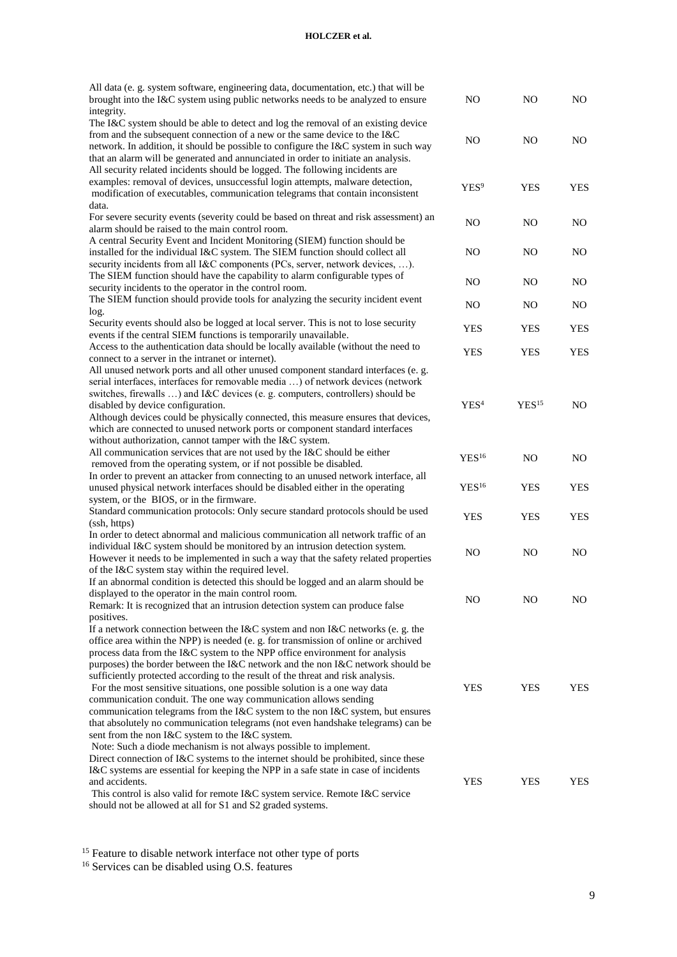## **HOLCZER et al.**

| All data (e. g. system software, engineering data, documentation, etc.) that will be<br>brought into the I&C system using public networks needs to be analyzed to ensure<br>integrity.                                                                                                                                                                                                                                                                                                                                                                                                                                                                                                                                                                                                              | NO.               | NO                | NO.            |
|-----------------------------------------------------------------------------------------------------------------------------------------------------------------------------------------------------------------------------------------------------------------------------------------------------------------------------------------------------------------------------------------------------------------------------------------------------------------------------------------------------------------------------------------------------------------------------------------------------------------------------------------------------------------------------------------------------------------------------------------------------------------------------------------------------|-------------------|-------------------|----------------|
| The I&C system should be able to detect and log the removal of an existing device<br>from and the subsequent connection of a new or the same device to the $I\&C$<br>network. In addition, it should be possible to configure the I&C system in such way<br>that an alarm will be generated and annunciated in order to initiate an analysis.                                                                                                                                                                                                                                                                                                                                                                                                                                                       | N <sub>O</sub>    | N <sub>O</sub>    | N <sub>O</sub> |
| All security related incidents should be logged. The following incidents are<br>examples: removal of devices, unsuccessful login attempts, malware detection,<br>modification of executables, communication telegrams that contain inconsistent<br>data.                                                                                                                                                                                                                                                                                                                                                                                                                                                                                                                                            | YES <sup>9</sup>  | <b>YES</b>        | <b>YES</b>     |
| For severe security events (severity could be based on threat and risk assessment) an<br>alarm should be raised to the main control room.                                                                                                                                                                                                                                                                                                                                                                                                                                                                                                                                                                                                                                                           | N <sub>O</sub>    | N <sub>O</sub>    | N <sub>O</sub> |
| A central Security Event and Incident Monitoring (SIEM) function should be<br>installed for the individual I&C system. The SIEM function should collect all<br>security incidents from all I&C components (PCs, server, network devices, ).                                                                                                                                                                                                                                                                                                                                                                                                                                                                                                                                                         | NO.               | NO                | NO.            |
| The SIEM function should have the capability to alarm configurable types of<br>security incidents to the operator in the control room.                                                                                                                                                                                                                                                                                                                                                                                                                                                                                                                                                                                                                                                              | N <sub>O</sub>    | N <sub>O</sub>    | NO.            |
| The SIEM function should provide tools for analyzing the security incident event<br>log.                                                                                                                                                                                                                                                                                                                                                                                                                                                                                                                                                                                                                                                                                                            | N <sub>O</sub>    | N <sub>O</sub>    | N <sub>O</sub> |
| Security events should also be logged at local server. This is not to lose security<br>events if the central SIEM functions is temporarily unavailable.                                                                                                                                                                                                                                                                                                                                                                                                                                                                                                                                                                                                                                             | <b>YES</b>        | YES               | <b>YES</b>     |
| Access to the authentication data should be locally available (without the need to<br>connect to a server in the intranet or internet).                                                                                                                                                                                                                                                                                                                                                                                                                                                                                                                                                                                                                                                             | <b>YES</b>        | <b>YES</b>        | <b>YES</b>     |
| All unused network ports and all other unused component standard interfaces (e. g.<br>serial interfaces, interfaces for removable media ) of network devices (network<br>switches, firewalls ) and I&C devices (e. g. computers, controllers) should be<br>disabled by device configuration.<br>Although devices could be physically connected, this measure ensures that devices,<br>which are connected to unused network ports or component standard interfaces<br>without authorization, cannot tamper with the I&C system.                                                                                                                                                                                                                                                                     | YES <sup>4</sup>  | YES <sup>15</sup> | NO.            |
| All communication services that are not used by the I&C should be either<br>removed from the operating system, or if not possible be disabled.                                                                                                                                                                                                                                                                                                                                                                                                                                                                                                                                                                                                                                                      | YES <sup>16</sup> | NO                | NO.            |
| In order to prevent an attacker from connecting to an unused network interface, all<br>unused physical network interfaces should be disabled either in the operating                                                                                                                                                                                                                                                                                                                                                                                                                                                                                                                                                                                                                                | YES <sup>16</sup> | <b>YES</b>        | <b>YES</b>     |
| system, or the BIOS, or in the firmware.<br>Standard communication protocols: Only secure standard protocols should be used<br>(ssh, https)                                                                                                                                                                                                                                                                                                                                                                                                                                                                                                                                                                                                                                                         | <b>YES</b>        | <b>YES</b>        | <b>YES</b>     |
| In order to detect abnormal and malicious communication all network traffic of an<br>individual I&C system should be monitored by an intrusion detection system.<br>However it needs to be implemented in such a way that the safety related properties<br>of the I&C system stay within the required level.                                                                                                                                                                                                                                                                                                                                                                                                                                                                                        | N <sub>O</sub>    | N <sub>O</sub>    | N <sub>O</sub> |
| If an abnormal condition is detected this should be logged and an alarm should be<br>displayed to the operator in the main control room.<br>Remark: It is recognized that an intrusion detection system can produce false<br>positives.                                                                                                                                                                                                                                                                                                                                                                                                                                                                                                                                                             | NO                | NO                | NO.            |
| If a network connection between the I&C system and non I&C networks (e. g. the<br>office area within the NPP) is needed (e. g. for transmission of online or archived<br>process data from the I&C system to the NPP office environment for analysis<br>purposes) the border between the I&C network and the non I&C network should be<br>sufficiently protected according to the result of the threat and risk analysis.<br>For the most sensitive situations, one possible solution is a one way data<br>communication conduit. The one way communication allows sending<br>communication telegrams from the I&C system to the non I&C system, but ensures<br>that absolutely no communication telegrams (not even handshake telegrams) can be<br>sent from the non I&C system to the I&C system. | <b>YES</b>        | <b>YES</b>        | YES            |
| Note: Such a diode mechanism is not always possible to implement.<br>Direct connection of I&C systems to the internet should be prohibited, since these<br>I&C systems are essential for keeping the NPP in a safe state in case of incidents<br>and accidents.<br>This control is also valid for remote I&C system service. Remote I&C service<br>should not be allowed at all for S1 and S2 graded systems.                                                                                                                                                                                                                                                                                                                                                                                       | <b>YES</b>        | YES               | YES            |

<sup>15</sup> Feature to disable network interface not other type of ports

<sup>16</sup> Services can be disabled using O.S. features